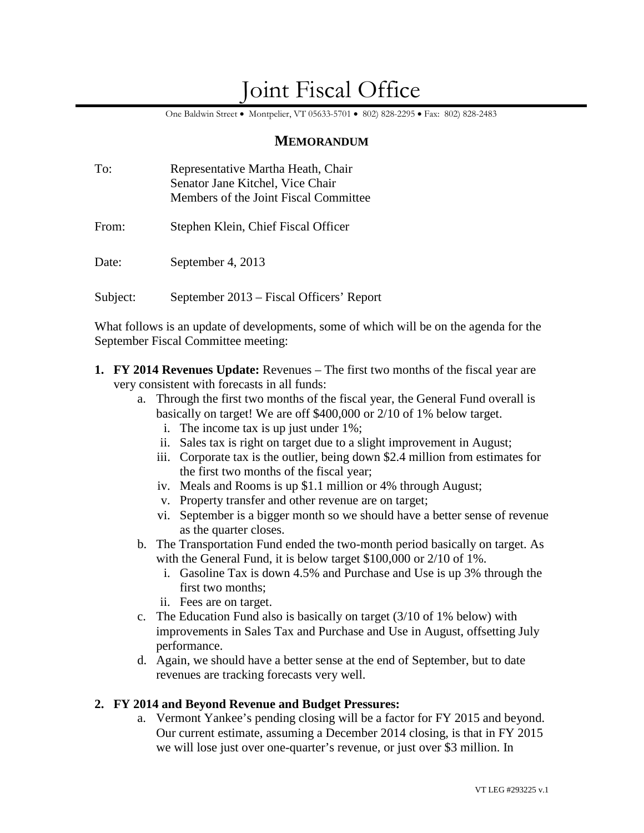# Joint Fiscal Office

One Baldwin Street • Montpelier, VT 05633-5701 • 802) 828-2295 • Fax: 802) 828-2483

## **MEMORANDUM**

| To:      | Representative Martha Heath, Chair<br>Senator Jane Kitchel, Vice Chair<br>Members of the Joint Fiscal Committee |
|----------|-----------------------------------------------------------------------------------------------------------------|
| From:    | Stephen Klein, Chief Fiscal Officer                                                                             |
| Date:    | September 4, 2013                                                                                               |
| Subject: | September 2013 – Fiscal Officers' Report                                                                        |

What follows is an update of developments, some of which will be on the agenda for the September Fiscal Committee meeting:

- **1. FY 2014 Revenues Update:** Revenues The first two months of the fiscal year are very consistent with forecasts in all funds:
	- a. Through the first two months of the fiscal year, the General Fund overall is basically on target! We are off \$400,000 or 2/10 of 1% below target.
		- i. The income tax is up just under 1%;
		- ii. Sales tax is right on target due to a slight improvement in August;
		- iii. Corporate tax is the outlier, being down \$2.4 million from estimates for the first two months of the fiscal year;
		- iv. Meals and Rooms is up \$1.1 million or 4% through August;
		- v. Property transfer and other revenue are on target;
		- vi. September is a bigger month so we should have a better sense of revenue as the quarter closes.
	- b. The Transportation Fund ended the two-month period basically on target. As with the General Fund, it is below target \$100,000 or 2/10 of 1%.
		- i. Gasoline Tax is down 4.5% and Purchase and Use is up 3% through the first two months;
		- ii. Fees are on target.
	- c. The Education Fund also is basically on target (3/10 of 1% below) with improvements in Sales Tax and Purchase and Use in August, offsetting July performance.
	- d. Again, we should have a better sense at the end of September, but to date revenues are tracking forecasts very well.

## **2. FY 2014 and Beyond Revenue and Budget Pressures:**

a. Vermont Yankee's pending closing will be a factor for FY 2015 and beyond. Our current estimate, assuming a December 2014 closing, is that in FY 2015 we will lose just over one-quarter's revenue, or just over \$3 million. In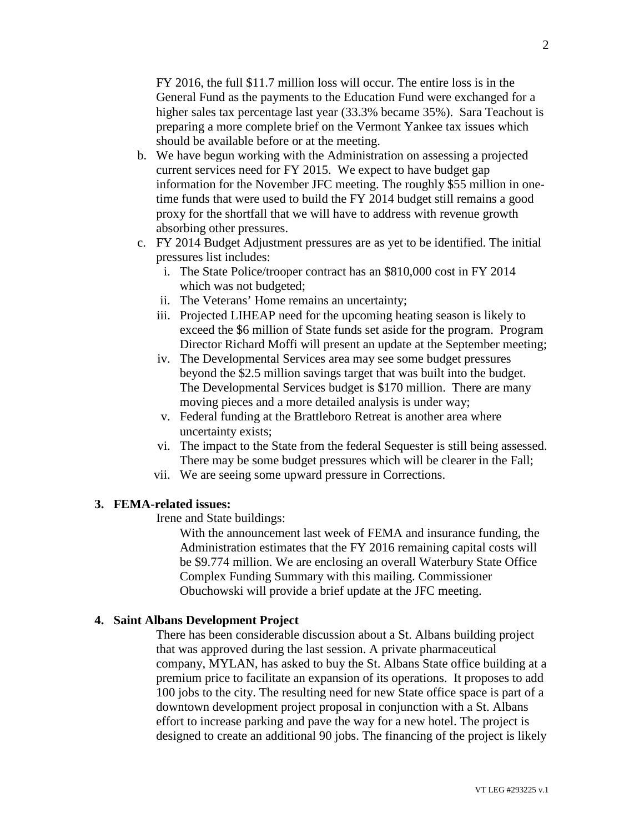FY 2016, the full \$11.7 million loss will occur. The entire loss is in the General Fund as the payments to the Education Fund were exchanged for a higher sales tax percentage last year (33.3% became 35%). Sara Teachout is preparing a more complete brief on the Vermont Yankee tax issues which should be available before or at the meeting.

- b. We have begun working with the Administration on assessing a projected current services need for FY 2015. We expect to have budget gap information for the November JFC meeting. The roughly \$55 million in onetime funds that were used to build the FY 2014 budget still remains a good proxy for the shortfall that we will have to address with revenue growth absorbing other pressures.
- c. FY 2014 Budget Adjustment pressures are as yet to be identified. The initial pressures list includes:
	- i. The State Police/trooper contract has an \$810,000 cost in FY 2014 which was not budgeted;
	- ii. The Veterans' Home remains an uncertainty;
	- iii. Projected LIHEAP need for the upcoming heating season is likely to exceed the \$6 million of State funds set aside for the program. Program Director Richard Moffi will present an update at the September meeting;
	- iv. The Developmental Services area may see some budget pressures beyond the \$2.5 million savings target that was built into the budget. The Developmental Services budget is \$170 million. There are many moving pieces and a more detailed analysis is under way;
	- v. Federal funding at the Brattleboro Retreat is another area where uncertainty exists;
	- vi. The impact to the State from the federal Sequester is still being assessed. There may be some budget pressures which will be clearer in the Fall;
	- vii. We are seeing some upward pressure in Corrections.

#### **3. FEMA-related issues:**

Irene and State buildings:

With the announcement last week of FEMA and insurance funding, the Administration estimates that the FY 2016 remaining capital costs will be \$9.774 million. We are enclosing an overall Waterbury State Office Complex Funding Summary with this mailing. Commissioner Obuchowski will provide a brief update at the JFC meeting.

#### **4. Saint Albans Development Project**

There has been considerable discussion about a St. Albans building project that was approved during the last session. A private pharmaceutical company, MYLAN, has asked to buy the St. Albans State office building at a premium price to facilitate an expansion of its operations. It proposes to add 100 jobs to the city. The resulting need for new State office space is part of a downtown development project proposal in conjunction with a St. Albans effort to increase parking and pave the way for a new hotel. The project is designed to create an additional 90 jobs. The financing of the project is likely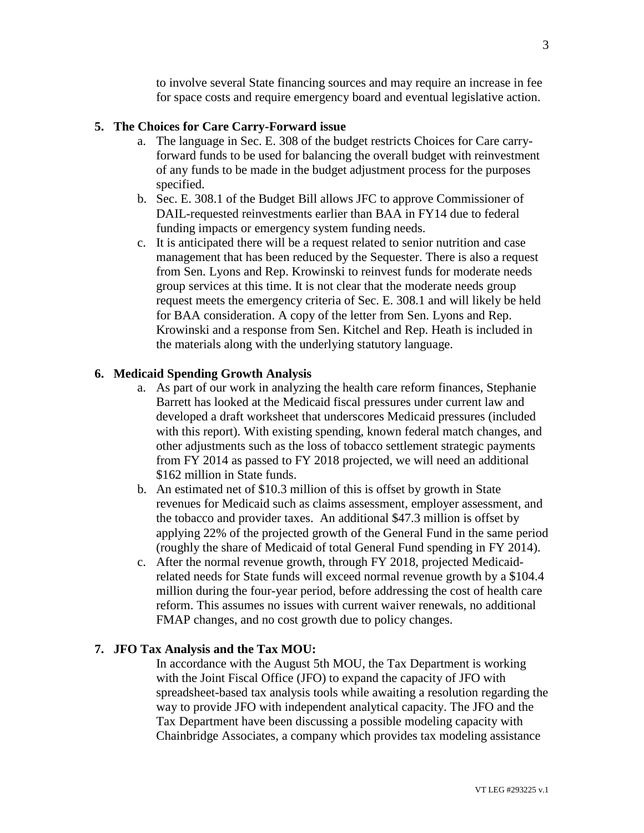to involve several State financing sources and may require an increase in fee for space costs and require emergency board and eventual legislative action.

## **5. The Choices for Care Carry-Forward issue**

- a. The language in Sec. E. 308 of the budget restricts Choices for Care carryforward funds to be used for balancing the overall budget with reinvestment of any funds to be made in the budget adjustment process for the purposes specified.
- b. Sec. E. 308.1 of the Budget Bill allows JFC to approve Commissioner of DAIL-requested reinvestments earlier than BAA in FY14 due to federal funding impacts or emergency system funding needs.
- c. It is anticipated there will be a request related to senior nutrition and case management that has been reduced by the Sequester. There is also a request from Sen. Lyons and Rep. Krowinski to reinvest funds for moderate needs group services at this time. It is not clear that the moderate needs group request meets the emergency criteria of Sec. E. 308.1 and will likely be held for BAA consideration. A copy of the letter from Sen. Lyons and Rep. Krowinski and a response from Sen. Kitchel and Rep. Heath is included in the materials along with the underlying statutory language.

#### **6. Medicaid Spending Growth Analysis**

- a. As part of our work in analyzing the health care reform finances, Stephanie Barrett has looked at the Medicaid fiscal pressures under current law and developed a draft worksheet that underscores Medicaid pressures (included with this report). With existing spending, known federal match changes, and other adjustments such as the loss of tobacco settlement strategic payments from FY 2014 as passed to FY 2018 projected, we will need an additional \$162 million in State funds.
- b. An estimated net of \$10.3 million of this is offset by growth in State revenues for Medicaid such as claims assessment, employer assessment, and the tobacco and provider taxes. An additional \$47.3 million is offset by applying 22% of the projected growth of the General Fund in the same period (roughly the share of Medicaid of total General Fund spending in FY 2014).
- c. After the normal revenue growth, through FY 2018, projected Medicaidrelated needs for State funds will exceed normal revenue growth by a \$104.4 million during the four-year period, before addressing the cost of health care reform. This assumes no issues with current waiver renewals, no additional FMAP changes, and no cost growth due to policy changes.

#### **7. JFO Tax Analysis and the Tax MOU:**

In accordance with the August 5th MOU, the Tax Department is working with the Joint Fiscal Office (JFO) to expand the capacity of JFO with spreadsheet-based tax analysis tools while awaiting a resolution regarding the way to provide JFO with independent analytical capacity. The JFO and the Tax Department have been discussing a possible modeling capacity with Chainbridge Associates, a company which provides tax modeling assistance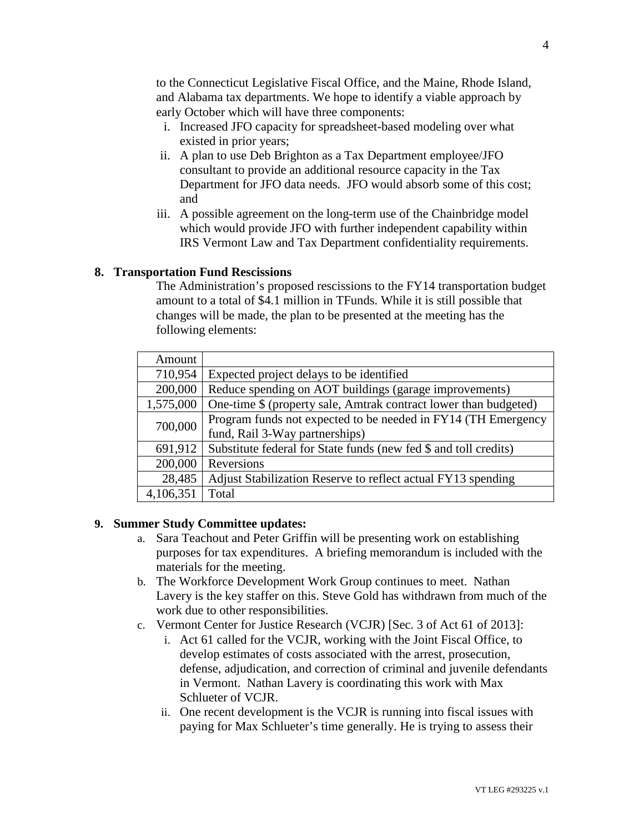to the Connecticut Legislative Fiscal Office, and the Maine, Rhode Island, and Alabama tax departments. We hope to identify a viable approach by early October which will have three components:

- i. Increased JFO capacity for spreadsheet-based modeling over what existed in prior years;
- ii. A plan to use Deb Brighton as a Tax Department employee/JFO consultant to provide an additional resource capacity in the Tax Department for JFO data needs. JFO would absorb some of this cost; and
- iii. A possible agreement on the long-term use of the Chainbridge model which would provide JFO with further independent capability within IRS Vermont Law and Tax Department confidentiality requirements.

## **8. Transportation Fund Rescissions**

The Administration's proposed rescissions to the FY14 transportation budget amount to a total of \$4.1 million in TFunds. While it is still possible that changes will be made, the plan to be presented at the meeting has the following elements:

| Amount    |                                                                  |
|-----------|------------------------------------------------------------------|
| 710,954   | Expected project delays to be identified                         |
| 200,000   | Reduce spending on AOT buildings (garage improvements)           |
| 1,575,000 | One-time \$ (property sale, Amtrak contract lower than budgeted) |
| 700,000   | Program funds not expected to be needed in FY14 (TH Emergency    |
|           | fund, Rail 3-Way partnerships)                                   |
| 691,912   | Substitute federal for State funds (new fed \$ and toll credits) |
| 200,000   | Reversions                                                       |
| 28,485    | Adjust Stabilization Reserve to reflect actual FY13 spending     |
| 4,106,351 | Total                                                            |

## **9. Summer Study Committee updates:**

- a. Sara Teachout and Peter Griffin will be presenting work on establishing purposes for tax expenditures. A briefing memorandum is included with the materials for the meeting.
- b. The Workforce Development Work Group continues to meet. Nathan Lavery is the key staffer on this. Steve Gold has withdrawn from much of the work due to other responsibilities.
- c. Vermont Center for Justice Research (VCJR) [Sec. 3 of Act 61 of 2013]:
	- i. Act 61 called for the VCJR, working with the Joint Fiscal Office, to develop estimates of costs associated with the arrest, prosecution, defense, adjudication, and correction of criminal and juvenile defendants in Vermont. Nathan Lavery is coordinating this work with Max Schlueter of VCJR.
	- ii. One recent development is the VCJR is running into fiscal issues with paying for Max Schlueter's time generally. He is trying to assess their